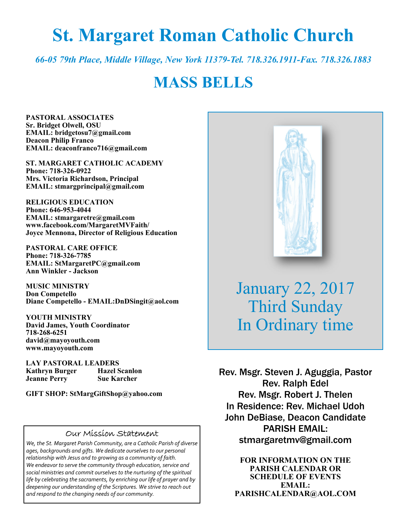# **St. Margaret Roman Catholic Church**

*66-05 79th Place, Middle Village, New York 11379-Tel. 718.326.1911-Fax. 718.326.1883* 

## **MASS BELLS**

**PASTORAL ASSOCIATES Sr. Bridget Olwell, OSU EMAIL: bridgetosu7@gmail.com Deacon Philip Franco EMAIL: deaconfranco716@gmail.com** 

**ST. MARGARET CATHOLIC ACADEMY Phone: 718-326-0922 Mrs. Victoria Richardson, Principal EMAIL: stmargprincipal@gmail.com** 

**RELIGIOUS EDUCATION Phone: 646-953-4044 EMAIL: stmargaretre@gmail.com www.facebook.com/MargaretMVFaith/ Joyce Mennona, Director of Religious Education** 

**PASTORAL CARE OFFICE Phone: 718-326-7785 EMAIL: StMargaretPC@gmail.com Ann Winkler - Jackson** 

**MUSIC MINISTRY Don Competello Diane Competello - EMAIL:DnDSingit@aol.com** 

**YOUTH MINISTRY David James, Youth Coordinator 718-268-6251 david@mayoyouth.com www.mayoyouth.com** 

**LAY PASTORAL LEADERS Kathryn Burger Hazel Scanlon Jeanne Perry Sue Karcher** 

**GIFT SHOP: StMargGiftShop@yahoo.com**

#### Our Mission Statement

*We, the St. Margaret Parish Community, are a Catholic Parish of diverse ages, backgrounds and gifts. We dedicate ourselves to our personal relationship with Jesus and to growing as a community of faith. We endeavor to serve the community through education, service and social ministries and commit ourselves to the nurturing of the spiritual life by celebrating the sacraments, by enriching our life of prayer and by deepening our understanding of the Scriptures. We strive to reach out and respond to the changing needs of our community.*



January 22, 2017 Third Sunday In Ordinary time

Rev. Msgr. Steven J. Aguggia, Pastor Rev. Ralph Edel Rev. Msgr. Robert J. Thelen In Residence: Rev. Michael Udoh John DeBiase, Deacon Candidate PARISH EMAIL: stmargaretmv@gmail.com

> **FOR INFORMATION ON THE PARISH CALENDAR OR SCHEDULE OF EVENTS EMAIL: PARISHCALENDAR@AOL.COM**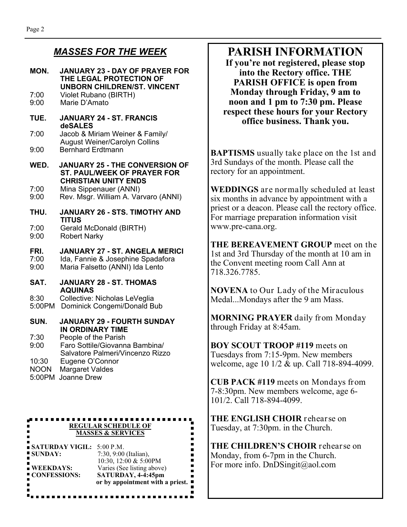#### *MASSES FOR THE WEEK*

| MON.                           | JANUARY 23 - DAY OF PRAYER FOR<br>THE LEGAL PROTECTION OF<br><b>UNBORN CHILDREN/ST. VINCENT</b>            |
|--------------------------------|------------------------------------------------------------------------------------------------------------|
| 7:00<br>9:00                   | Violet Rubano (BIRTH)<br>Marie D'Amato                                                                     |
| TUE.                           | <b>JANUARY 24 - ST. FRANCIS</b><br>deSALES                                                                 |
| 7:00                           | Jacob & Miriam Weiner & Family/<br><b>August Weiner/Carolyn Collins</b>                                    |
| 9:00                           | <b>Bernhard Erdtmann</b>                                                                                   |
| WED.                           | <b>JANUARY 25 - THE CONVERSION OF</b><br><b>ST. PAUL/WEEK OF PRAYER FOR</b><br><b>CHRISTIAN UNITY ENDS</b> |
| 7:00<br>9:00                   | Mina Sippenauer (ANNI)<br>Rev. Msgr. William A. Varvaro (ANNI)                                             |
| THU.                           | <b>JANUARY 26 - STS. TIMOTHY AND</b><br><b>TITUS</b>                                                       |
| 7:00<br>9:00                   | Gerald McDonald (BIRTH)<br><b>Robert Narky</b>                                                             |
| FRI.<br>7:00<br>9:00           | JANUARY 27 - ST. ANGELA MERICI<br>Ida, Fannie & Josephine Spadafora<br>Maria Falsetto (ANNI) Ida Lento     |
| SAT.                           | JANUARY 28 - ST. THOMAS<br><b>AQUINAS</b>                                                                  |
| 8:30<br>5:00PM                 | Collective: Nicholas LeVeglia<br>Dominick Congemi/Donald Bub                                               |
| SUN.                           | <b>JANUARY 29 - FOURTH SUNDAY</b><br><b>IN ORDINARY TIME</b>                                               |
| 7:30<br>9:00                   | People of the Parish<br>Faro Sottile/Giovanna Bambina/<br>Salvatore Palmeri/Vincenzo Rizzo                 |
| 10:30<br><b>NOON</b><br>5:00PM | Eugene O'Connor<br><b>Margaret Valdes</b><br>Joanne Drew                                                   |

#### **REGULAR SCHEDULE OF MASSES & SERVICES**

|                           | or by appointment with a priest. |
|---------------------------|----------------------------------|
| " CONFESSIONS:            | SATURDAY, 4-4:45pm               |
| ■ WEEKDAYS:               | Varies (See listing above)       |
|                           | 10:30, 12:00 & 5:00PM            |
| ■ SUNDAY:                 | 7:30, 9:00 (Italian),            |
| SATURDAY VIGIL: 5:00 P.M. |                                  |

## **PARISH INFORMATION**

**If you're not registered, please stop into the Rectory office. THE PARISH OFFICE is open from Monday through Friday, 9 am to noon and 1 pm to 7:30 pm. Please respect these hours for your Rectory office business. Thank you.** 

**BAPTISMS** usually take place on the 1st and 3rd Sundays of the month. Please call the rectory for an appointment.

**WEDDINGS** are normally scheduled at least six months in advance by appointment with a priest or a deacon. Please call the rectory office. For marriage preparation information visit www.pre-cana.org.

**THE BEREAVEMENT GROUP** meet on the 1st and 3rd Thursday of the month at 10 am in the Convent meeting room Call Ann at 718.326.7785.

**NOVENA** to Our Lady of the Miraculous Medal...Mondays after the 9 am Mass.

**MORNING PRAYER** daily from Monday through Friday at 8:45am.

**BOY SCOUT TROOP #119** meets on Tuesdays from 7:15-9pm. New members welcome, age 10 1/2 & up. Call 718-894-4099.

**CUB PACK #119** meets on Mondays from 7-8:30pm. New members welcome, age 6- 101/2. Call 718-894-4099.

**THE ENGLISH CHOIR** rehearse on Tuesday, at 7:30pm. in the Church.

**THE CHILDREN'S CHOIR** rehearse on Monday, from 6-7pm in the Church. For more info. DnDSingit@aol.com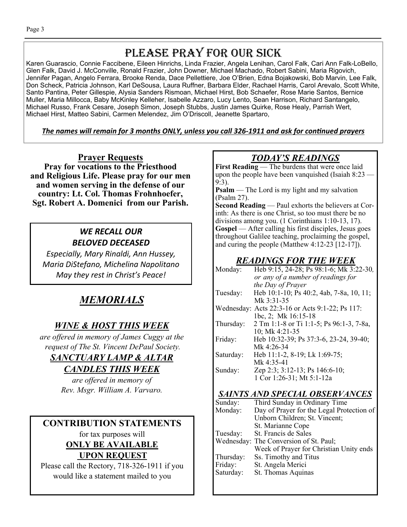## PLEASE PRAY FOR OUR SICK

Karen Guarascio, Connie Faccibene, Eileen Hinrichs, Linda Frazier, Angela Lenihan, Carol Falk, Cari Ann Falk-LoBello, Glen Falk, David J. McConville, Ronald Frazier, John Downer, Michael Machado, Robert Sabini, Maria Rigovich, Jennifer Pagan, Angelo Ferrara, Brooke Renda, Dace Pellettiere, Joe O'Brien, Edna Bojakowski, Bob Marvin, Lee Falk, Don Scheck, Patricia Johnson, Karl DeSousa, Laura Ruffner, Barbara Elder, Rachael Harris, Carol Arevalo, Scott White, Santo Pantina, Peter Gillespie, Alysia Sanders Rismoan, Michael Hirst, Bob Schaefer, Rose Marie Santos, Bernice Muller, Maria Millocca, Baby McKinley Kelleher, Isabelle Azzaro, Lucy Lento, Sean Harrison, Richard Santangelo, Michael Russo, Frank Cesare, Joseph Simon, Joseph Stubbs, Justin James Quirke, Rose Healy, Parrish Wert, Michael Hirst, Matteo Sabini, Carmen Melendez, Jim O'Driscoll, Jeanette Spartaro,

The names will remain for 3 months ONLY, unless you call 326-1911 and ask for continued prayers

**Prayer Requests Pray for vocations to the Priesthood and Religious Life. Please pray for our men and women serving in the defense of our country: Lt. Col. Thomas Frohnhoefer, Sgt. Robert A. Domenici from our Parish.**

### *WE RECALL OUR BELOVED DECEASED*

*Especially, Mary Rinaldi, Ann Hussey, Maria DiStefano, Michelina Napolitano May they rest in Christ's Peace!* 

## *MEMORIALS*

### *WINE & HOST THIS WEEK*

*are offered in memory of James Cuggy at the request of The St. Vincent DePaul Society.* 

#### *SANCTUARY LAMP & ALTAR*

#### *CANDLES THIS WEEK*

*are offered in memory of Rev. Msgr. William A. Varvaro.* 

## **CONTRIBUTION STATEMENTS**

for tax purposes will **ONLY BE AVAILABLE UPON REQUEST** 

Please call the Rectory, 718-326-1911 if you would like a statement mailed to you

## *TODAY'S READINGS*

**First Reading** — The burdens that were once laid upon the people have been vanquished (Isaiah 8:23 — 9:3).

**Psalm** — The Lord is my light and my salvation (Psalm 27).

**Second Reading** — Paul exhorts the believers at Corinth: As there is one Christ, so too must there be no divisions among you. (1 Corinthians 1:10-13, 17). **Gospel** — After calling his first disciples, Jesus goes throughout Galilee teaching, proclaiming the gospel, and curing the people (Matthew 4:12-23 [12-17]).

## *READINGS FOR THE WEEK*

| Monday:   | Heb 9:15, 24-28; Ps 98:1-6; Mk 3:22-30,         |
|-----------|-------------------------------------------------|
|           | or any of a number of readings for              |
|           | the Day of Prayer                               |
| Tuesday:  | Heb 10:1-10; Ps 40:2, 4ab, 7-8a, 10, 11;        |
|           | Mk 3:31-35                                      |
|           | Wednesday: Acts 22:3-16 or Acts 9:1-22; Ps 117: |
|           | 1bc, 2; Mk 16:15-18                             |
| Thursday: | 2 Tm 1:1-8 or Ti 1:1-5; Ps 96:1-3, 7-8a,        |
|           | 10; Mk $4:21-35$                                |
| Friday:   | Heb 10:32-39; Ps 37:3-6, 23-24, 39-40;          |
|           | Mk 4:26-34                                      |
| Saturday: | Heb 11:1-2, 8-19; Lk 1:69-75;                   |
|           | Mk $4:35-41$                                    |
| Sunday:   | Zep 2:3; 3:12-13; Ps 146:6-10;                  |
|           | 1 Cor 1:26-31; Mt 5:1-12a                       |

#### *SAINTS AND SPECIAL OBSERVANCES*

| Sunday:   | Third Sunday in Ordinary Time             |
|-----------|-------------------------------------------|
| Monday:   | Day of Prayer for the Legal Protection of |
|           | Unborn Children; St. Vincent;             |
|           | St. Marianne Cope                         |
| Tuesday:  | St. Francis de Sales                      |
|           | Wednesday: The Conversion of St. Paul;    |
|           | Week of Prayer for Christian Unity ends   |
| Thursday: | Ss. Timothy and Titus                     |
| Friday:   | St. Angela Merici                         |
| Saturday: | St. Thomas Aquinas                        |
|           |                                           |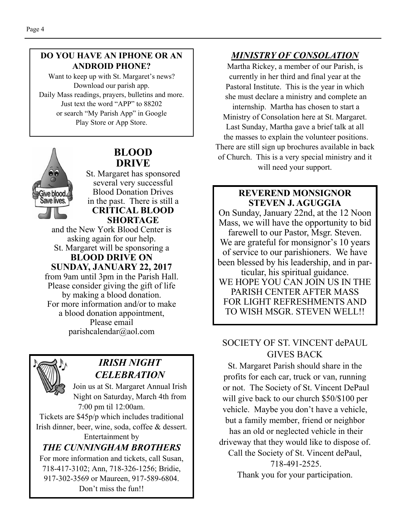#### **DO YOU HAVE AN IPHONE OR AN ANDROID PHONE?**

Want to keep up with St. Margaret's news? Download our parish app. Daily Mass readings, prayers, bulletins and more. Just text the word "APP" to 88202 or search "My Parish App" in Google Play Store or App Store.



#### **BLOOD DRIVE**

St. Margaret has sponsored several very successful Blood Donation Drives in the past. There is still a **CRITICAL BLOOD SHORTAGE** 

and the New York Blood Center is asking again for our help. St. Margaret will be sponsoring a **BLOOD DRIVE ON** 

**SUNDAY, JANUARY 22, 2017** 

from 9am until 3pm in the Parish Hall. Please consider giving the gift of life by making a blood donation. For more information and/or to make a blood donation appointment, Please email parishcalendar@aol.com



#### *IRISH NIGHT CELEBRATION*

Join us at St. Margaret Annual Irish Night on Saturday, March 4th from 7:00 pm til 12:00am.

Tickets are \$45p/p which includes traditional Irish dinner, beer, wine, soda, coffee & dessert.

Entertainment by *THE CUNNINGHAM BROTHERS*  For more information and tickets, call Susan, 718-417-3102; Ann, 718-326-1256; Bridie, 917-302-3569 or Maureen, 917-589-6804. Don't miss the fun!!

### *MINISTRY OF CONSOLATION*

Martha Rickey, a member of our Parish, is currently in her third and final year at the Pastoral Institute. This is the year in which she must declare a ministry and complete an internship. Martha has chosen to start a Ministry of Consolation here at St. Margaret. Last Sunday, Martha gave a brief talk at all the masses to explain the volunteer positions. There are still sign up brochures available in back of Church. This is a very special ministry and it will need your support.

#### **REVEREND MONSIGNOR STEVEN J. AGUGGIA**

On Sunday, January 22nd, at the 12 Noon Mass, we will have the opportunity to bid farewell to our Pastor, Msgr. Steven. We are grateful for monsignor's 10 years of service to our parishioners. We have been blessed by his leadership, and in particular, his spiritual guidance. WE HOPE YOU CAN JOIN US IN THE PARISH CENTER AFTER MASS FOR LIGHT REFRESHMENTS AND TO WISH MSGR. STEVEN WELL!!

#### SOCIETY OF ST. VINCENT dePAUL GIVES BACK

St. Margaret Parish should share in the profits for each car, truck or van, running or not. The Society of St. Vincent DePaul will give back to our church \$50/\$100 per vehicle. Maybe you don't have a vehicle, but a family member, friend or neighbor has an old or neglected vehicle in their driveway that they would like to dispose of. Call the Society of St. Vincent dePaul, 718-491-2525.

Thank you for your participation.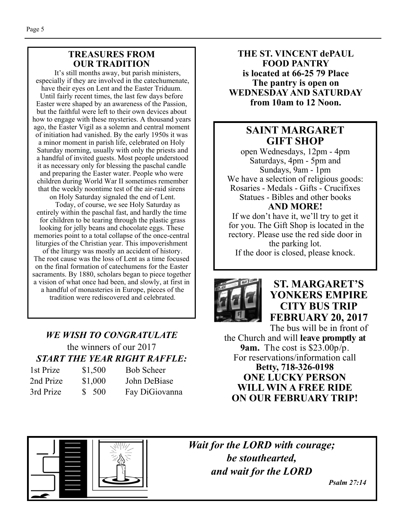#### **TREASURES FROM OUR TRADITION**

 It's still months away, but parish ministers, especially if they are involved in the catechumenate, have their eyes on Lent and the Easter Triduum. Until fairly recent times, the last few days before Easter were shaped by an awareness of the Passion, but the faithful were left to their own devices about how to engage with these mysteries. A thousand years ago, the Easter Vigil as a solemn and central moment of initiation had vanished. By the early 1950s it was a minor moment in parish life, celebrated on Holy Saturday morning, usually with only the priests and a handful of invited guests. Most people understood it as necessary only for blessing the paschal candle and preparing the Easter water. People who were children during World War II sometimes remember that the weekly noontime test of the air-raid sirens on Holy Saturday signaled the end of Lent.

 Today, of course, we see Holy Saturday as entirely within the paschal fast, and hardly the time for children to be tearing through the plastic grass looking for jelly beans and chocolate eggs. These memories point to a total collapse of the once-central liturgies of the Christian year. This impoverishment of the liturgy was mostly an accident of history. The root cause was the loss of Lent as a time focused on the final formation of catechumens for the Easter sacraments. By 1880, scholars began to piece together a vision of what once had been, and slowly, at first in a handful of monasteries in Europe, pieces of the tradition were rediscovered and celebrated.

## *WE WISH TO CONGRATULATE*  the winners of our 2017 *START THE YEAR RIGHT RAFFLE:*

| 1st Prize | \$1,500 |
|-----------|---------|
| 2nd Prize | \$1,000 |
| 3rd Prize | \$500   |

Bob Scheer John DeBiase Fay DiGiovanna

**THE ST. VINCENT dePAUL FOOD PANTRY is located at 66-25 79 Place The pantry is open on WEDNESDAY AND SATURDAY from 10am to 12 Noon.** 

#### **SAINT MARGARET GIFT SHOP**

open Wednesdays, 12pm - 4pm Saturdays, 4pm - 5pm and Sundays, 9am - 1pm We have a selection of religious goods: Rosaries - Medals - Gifts - Crucifixes Statues - Bibles and other books **AND MORE!** 

If we don't have it, we'll try to get it for you. The Gift Shop is located in the rectory. Please use the red side door in the parking lot. If the door is closed, please knock.



#### **ST. MARGARET'S YONKERS EMPIRE CITY BUS TRIP FEBRUARY 20, 2017**

The bus will be in front of the Church and will **leave promptly at 9am.** The cost is \$23.00p/p. For reservations/information call **Betty, 718-326-0198 ONE LUCKY PERSON WILL WIN A FREE RIDE ON OUR FEBRUARY TRIP!** 



*Wait for the LORD with courage; be stouthearted, and wait for the LORD*

 *Psalm 27:14*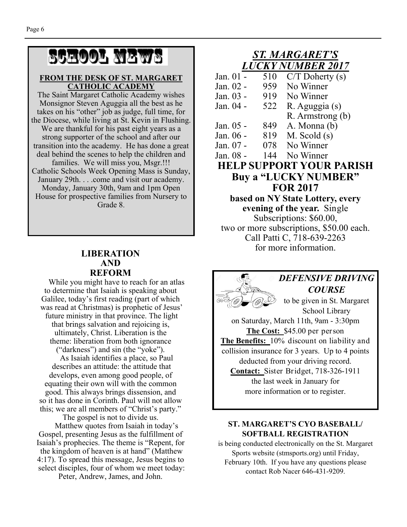# School News

#### **FROM THE DESK OF ST. MARGARET CATHOLIC ACADEMY**

The Saint Margaret Catholic Academy wishes Monsignor Steven Aguggia all the best as he takes on his "other" job as judge, full time, for the Diocese, while living at St. Kevin in Flushing. We are thankful for his past eight years as a strong supporter of the school and after our transition into the academy. He has done a great deal behind the scenes to help the children and families. We will miss you, Msgr.!!! Catholic Schools Week Opening Mass is Sunday, January 29th. . . .come and visit our academy. Monday, January 30th, 9am and 1pm Open House for prospective families from Nursery to Grade 8.

#### **LIBERATION AND REFORM**

While you might have to reach for an atlas to determine that Isaiah is speaking about Galilee, today's first reading (part of which was read at Christmas) is prophetic of Jesus' future ministry in that province. The light that brings salvation and rejoicing is, ultimately, Christ. Liberation is the theme: liberation from both ignorance ("darkness") and sin (the "yoke"). As Isaiah identifies a place, so Paul describes an attitude: the attitude that develops, even among good people, of equating their own will with the common

good. This always brings dissension, and so it has done in Corinth. Paul will not allow this; we are all members of "Christ's party."

The gospel is not to divide us.

 Matthew quotes from Isaiah in today's Gospel, presenting Jesus as the fulfillment of Isaiah's prophecies. The theme is "Repent, for the kingdom of heaven is at hand" (Matthew 4:17). To spread this message, Jesus begins to select disciples, four of whom we meet today:

Peter, Andrew, James, and John.

#### *ST. MARGARET'S LUCKY NUMBER 2017*

| Jan. 01 -                        | 510 | $C/T$ Doherty $(s)$                      |  |  |  |
|----------------------------------|-----|------------------------------------------|--|--|--|
| Jan. 02 -                        | 959 | No Winner                                |  |  |  |
| Jan. 03 -                        | 919 | No Winner                                |  |  |  |
| Jan. 04 -                        | 522 | R. Aguggia (s)                           |  |  |  |
|                                  |     | R. Armstrong (b)                         |  |  |  |
| Jan. 05 -                        | 849 | A. Monna (b)                             |  |  |  |
| Jan. 06 -                        | 819 | $M.$ Scold $(s)$                         |  |  |  |
| Jan. 07 -                        |     | 078 No Winner                            |  |  |  |
| Jan. 08 -                        |     | 144 No Winner                            |  |  |  |
| <b>HELP SUPPORT YOUR PARISH</b>  |     |                                          |  |  |  |
| Buy a "LUCKY NUMBER"             |     |                                          |  |  |  |
| <b>FOR 2017</b>                  |     |                                          |  |  |  |
| based on NY State Lottery, every |     |                                          |  |  |  |
|                                  |     |                                          |  |  |  |
|                                  |     | evening of the year. Single              |  |  |  |
|                                  |     | Subscriptions: \$60.00,                  |  |  |  |
|                                  |     | two or more subscriptions, \$50.00 each. |  |  |  |
|                                  |     | Call Patti C, 718-639-2263               |  |  |  |
|                                  |     | for more information.                    |  |  |  |

*DEFENSIVE DRIVING COURSE*  to be given in St. Margaret School Library on Saturday, March 11th, 9am - 3:30pm **The Cost:** \$45.00 per person **The Benefits:** 10% discount on liability and collision insurance for 3 years. Up to 4 points deducted from your driving record. **Contact:** Sister Bridget, 718-326-1911 the last week in January for more information or to register.

#### **ST. MARGARET'S CYO BASEBALL/ SOFTBALL REGISTRATION**

is being conducted electronically on the St. Margaret Sports website (stmsports.org) until Friday, February 10th. If you have any questions please contact Rob Nacer 646-431-9209.